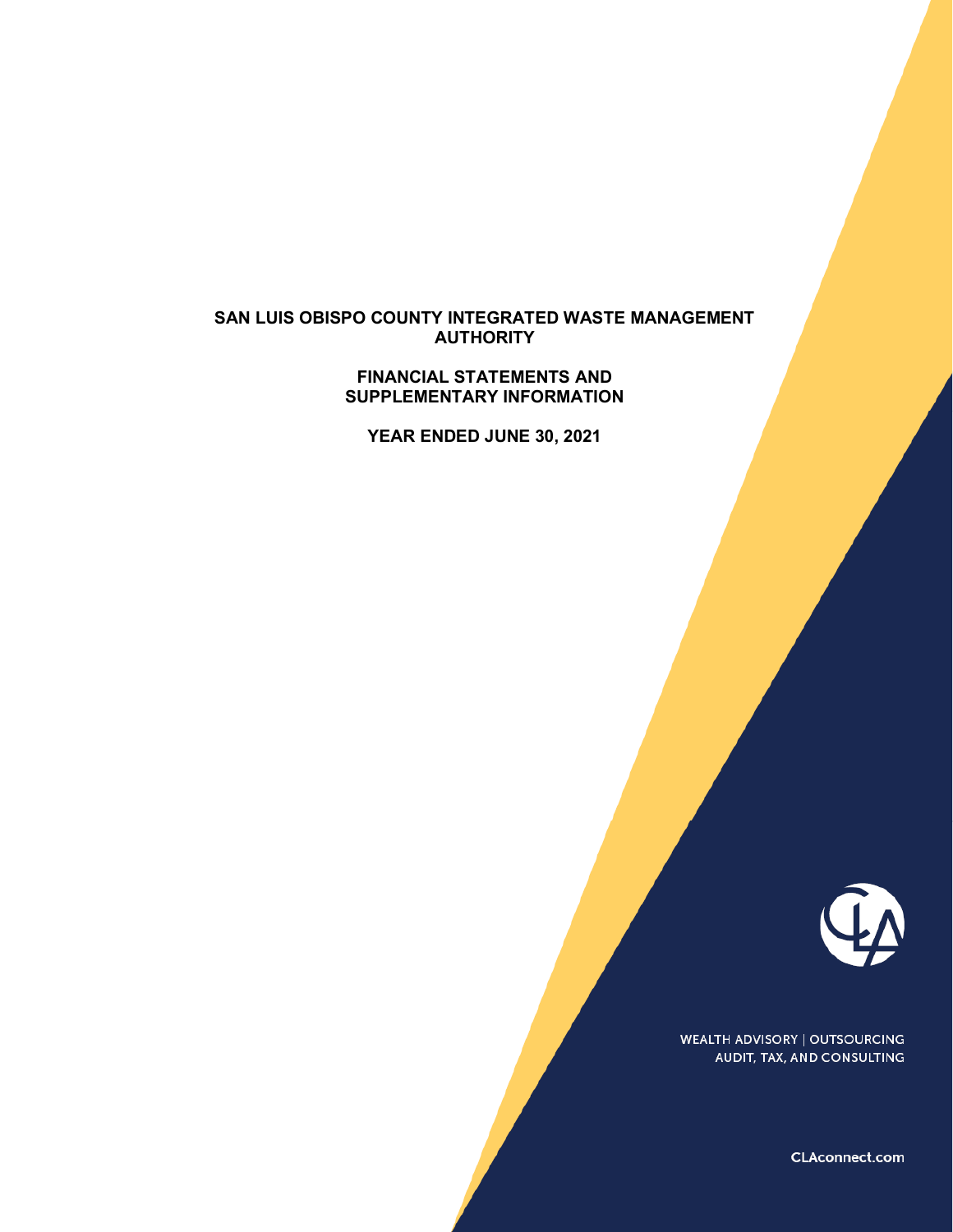### **SAN LUIS OBISPO COUNTY INTEGRATED WASTE MANAGEMENT AUTHORITY**

#### **FINANCIAL STATEMENTS AND SUPPLEMENTARY INFORMATION**

**YEAR ENDED JUNE 30, 2021**



**WEALTH ADVISORY | OUTSOURCING** AUDIT, TAX, AND CONSULTING

CLAconnect.com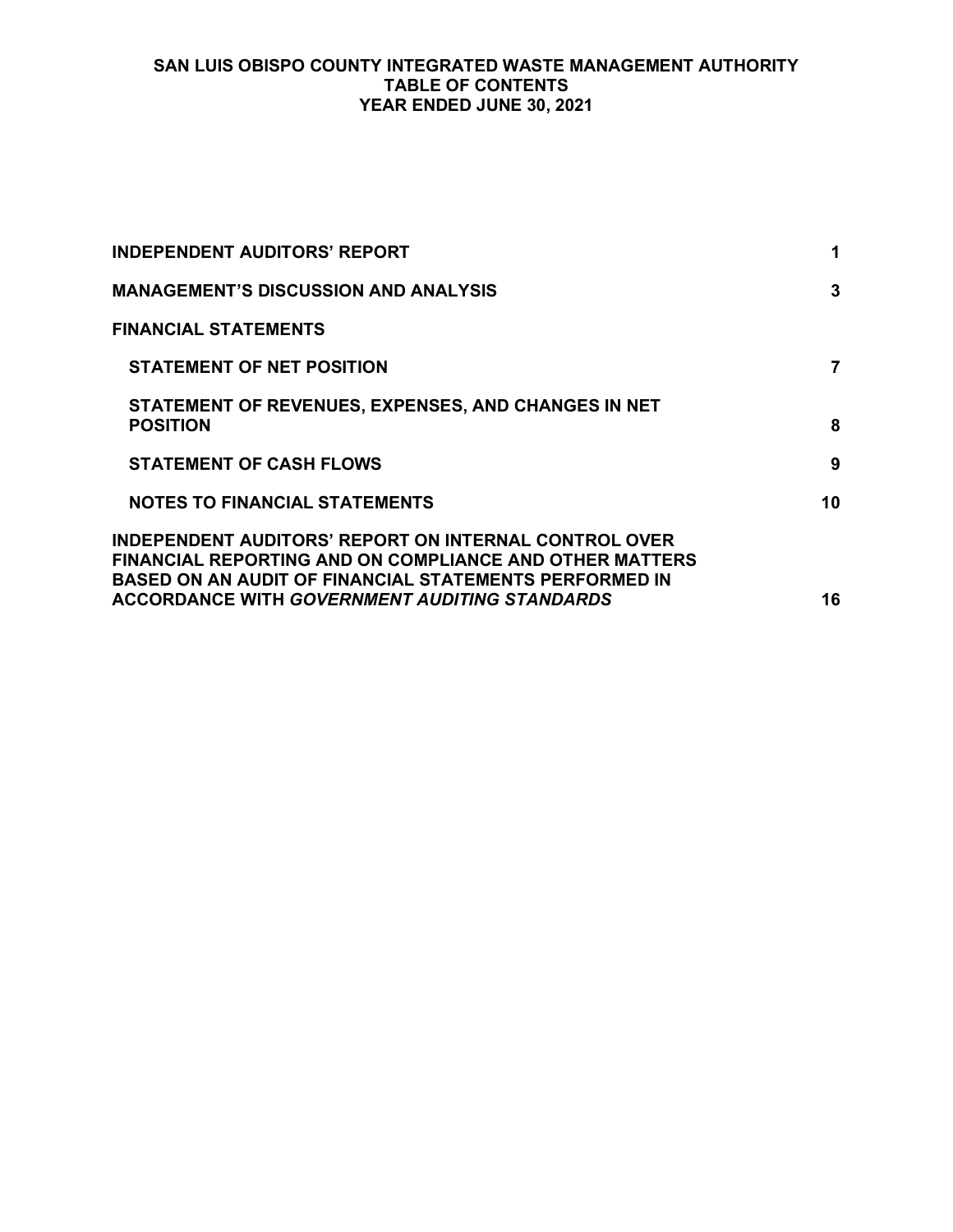### **SAN LUIS OBISPO COUNTY INTEGRATED WASTE MANAGEMENT AUTHORITY TABLE OF CONTENTS YEAR ENDED JUNE 30, 2021**

| <b>INDEPENDENT AUDITORS' REPORT</b>                                                                                                                                                                                                 | 1  |
|-------------------------------------------------------------------------------------------------------------------------------------------------------------------------------------------------------------------------------------|----|
| <b>MANAGEMENT'S DISCUSSION AND ANALYSIS</b>                                                                                                                                                                                         | 3  |
| <b>FINANCIAL STATEMENTS</b>                                                                                                                                                                                                         |    |
| <b>STATEMENT OF NET POSITION</b>                                                                                                                                                                                                    | 7  |
| STATEMENT OF REVENUES, EXPENSES, AND CHANGES IN NET<br><b>POSITION</b>                                                                                                                                                              | 8  |
| <b>STATEMENT OF CASH FLOWS</b>                                                                                                                                                                                                      | 9  |
| <b>NOTES TO FINANCIAL STATEMENTS</b>                                                                                                                                                                                                | 10 |
| INDEPENDENT AUDITORS' REPORT ON INTERNAL CONTROL OVER<br>FINANCIAL REPORTING AND ON COMPLIANCE AND OTHER MATTERS<br>BASED ON AN AUDIT OF FINANCIAL STATEMENTS PERFORMED IN<br>ACCORDANCE WITH GO <i>VERNMENT AUDITING STANDARDS</i> | 16 |
|                                                                                                                                                                                                                                     |    |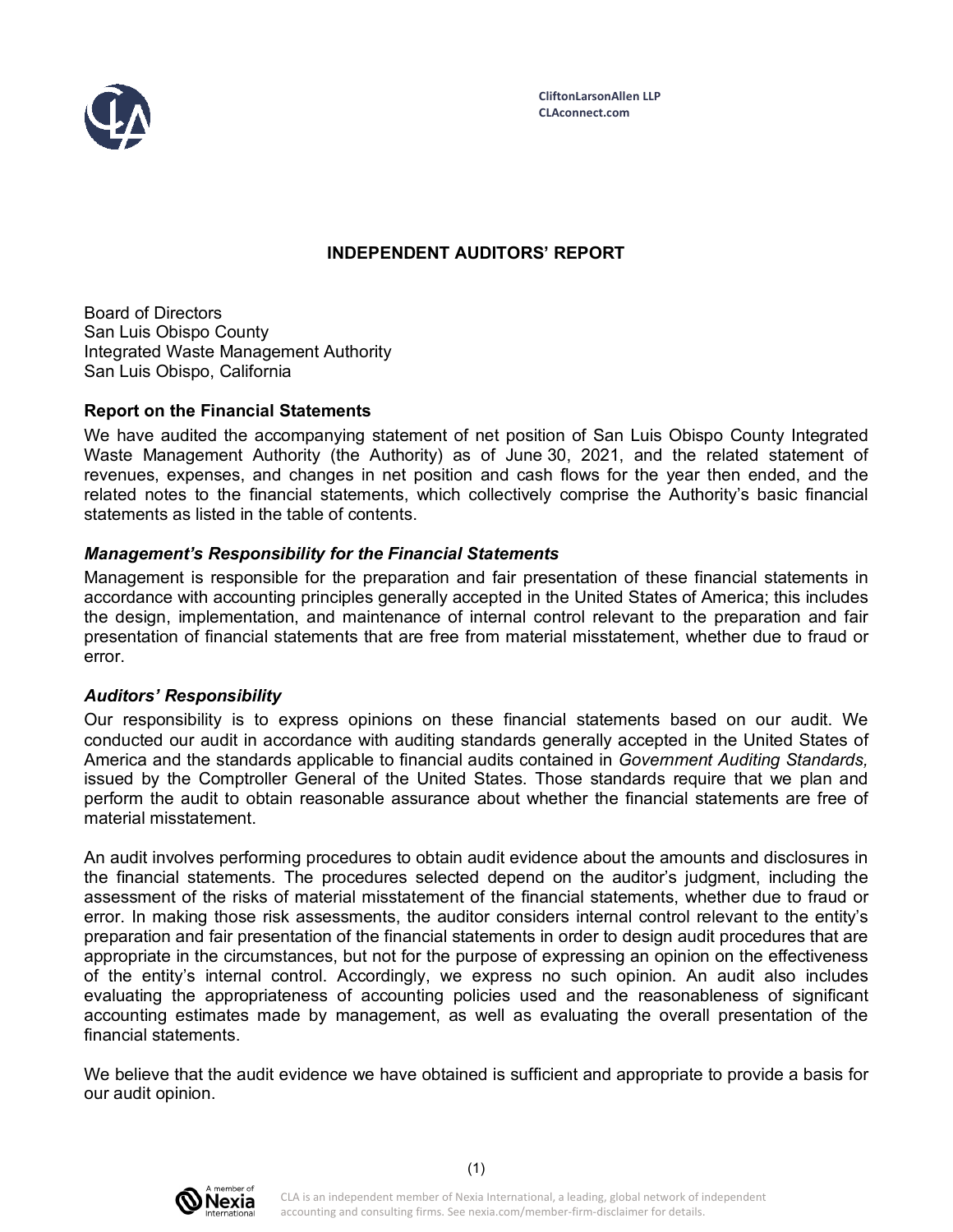

## **INDEPENDENT AUDITORS' REPORT**

Board of Directors San Luis Obispo County Integrated Waste Management Authority San Luis Obispo, California

### **Report on the Financial Statements**

We have audited the accompanying statement of net position of San Luis Obispo County Integrated Waste Management Authority (the Authority) as of June 30, 2021, and the related statement of revenues, expenses, and changes in net position and cash flows for the year then ended, and the related notes to the financial statements, which collectively comprise the Authority's basic financial statements as listed in the table of contents.

### *Management's Responsibility for the Financial Statements*

Management is responsible for the preparation and fair presentation of these financial statements in accordance with accounting principles generally accepted in the United States of America; this includes the design, implementation, and maintenance of internal control relevant to the preparation and fair presentation of financial statements that are free from material misstatement, whether due to fraud or error.

### *Auditors' Responsibility*

Our responsibility is to express opinions on these financial statements based on our audit. We conducted our audit in accordance with auditing standards generally accepted in the United States of America and the standards applicable to financial audits contained in *Government Auditing Standards,* issued by the Comptroller General of the United States. Those standards require that we plan and perform the audit to obtain reasonable assurance about whether the financial statements are free of material misstatement.

An audit involves performing procedures to obtain audit evidence about the amounts and disclosures in the financial statements. The procedures selected depend on the auditor's judgment, including the assessment of the risks of material misstatement of the financial statements, whether due to fraud or error. In making those risk assessments, the auditor considers internal control relevant to the entity's preparation and fair presentation of the financial statements in order to design audit procedures that are appropriate in the circumstances, but not for the purpose of expressing an opinion on the effectiveness of the entity's internal control. Accordingly, we express no such opinion. An audit also includes evaluating the appropriateness of accounting policies used and the reasonableness of significant accounting estimates made by management, as well as evaluating the overall presentation of the financial statements.

We believe that the audit evidence we have obtained is sufficient and appropriate to provide a basis for our audit opinion.

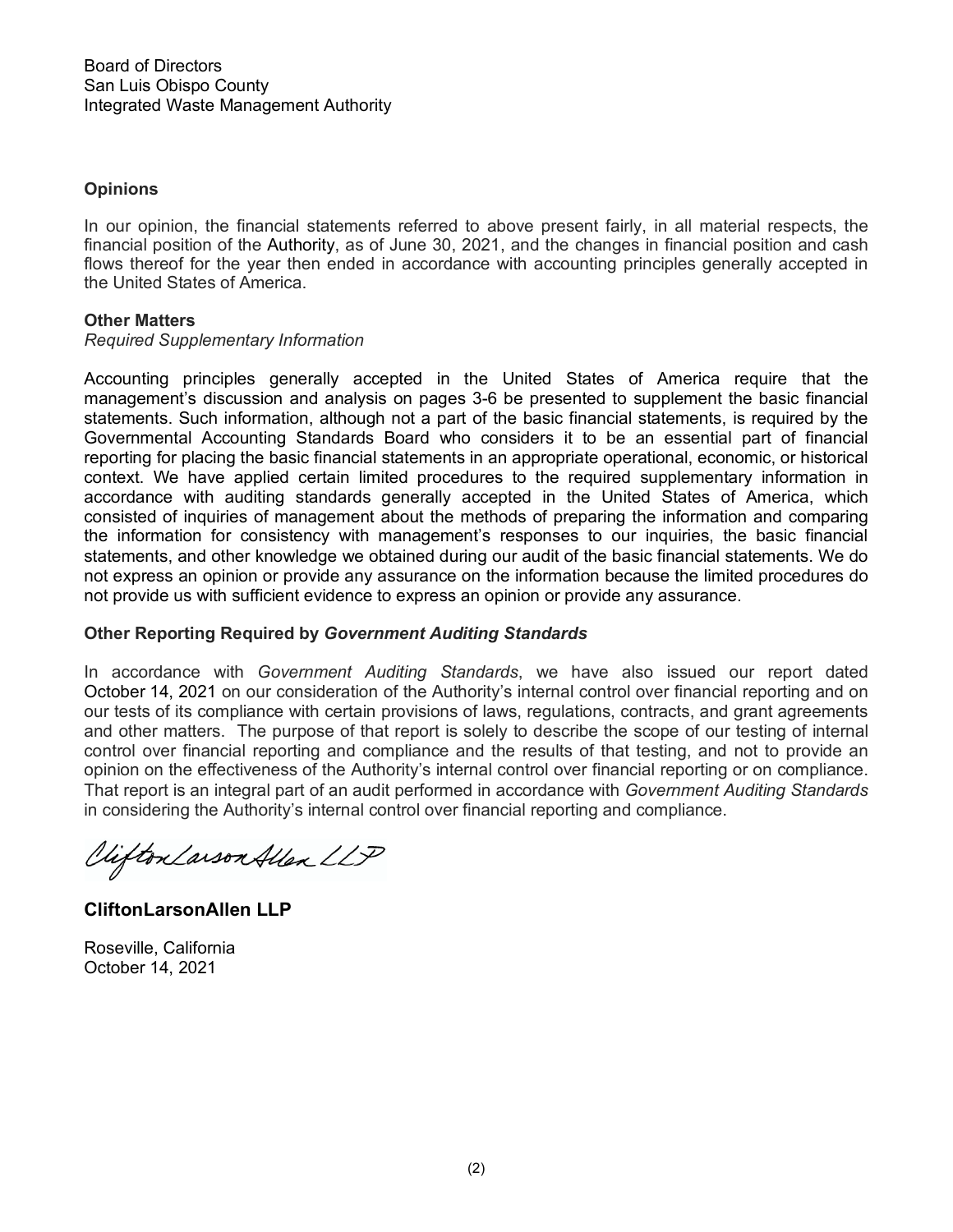### **Opinions**

In our opinion, the financial statements referred to above present fairly, in all material respects, the financial position of the Authority, as of June 30, 2021, and the changes in financial position and cash flows thereof for the year then ended in accordance with accounting principles generally accepted in the United States of America.

### **Other Matters**

#### *Required Supplementary Information*

Accounting principles generally accepted in the United States of America require that the management's discussion and analysis on pages 3-6 be presented to supplement the basic financial statements. Such information, although not a part of the basic financial statements, is required by the Governmental Accounting Standards Board who considers it to be an essential part of financial reporting for placing the basic financial statements in an appropriate operational, economic, or historical context. We have applied certain limited procedures to the required supplementary information in accordance with auditing standards generally accepted in the United States of America, which consisted of inquiries of management about the methods of preparing the information and comparing the information for consistency with management's responses to our inquiries, the basic financial statements, and other knowledge we obtained during our audit of the basic financial statements. We do not express an opinion or provide any assurance on the information because the limited procedures do not provide us with sufficient evidence to express an opinion or provide any assurance.

### **Other Reporting Required by** *Government Auditing Standards*

In accordance with *Government Auditing Standards*, we have also issued our report dated October 14, 2021 on our consideration of the Authority's internal control over financial reporting and on our tests of its compliance with certain provisions of laws, regulations, contracts, and grant agreements and other matters. The purpose of that report is solely to describe the scope of our testing of internal control over financial reporting and compliance and the results of that testing, and not to provide an opinion on the effectiveness of the Authority's internal control over financial reporting or on compliance. That report is an integral part of an audit performed in accordance with *Government Auditing Standards* in considering the Authority's internal control over financial reporting and compliance.

Viifton Larson Allen LLP

**CliftonLarsonAllen LLP**

Roseville, California October 14, 2021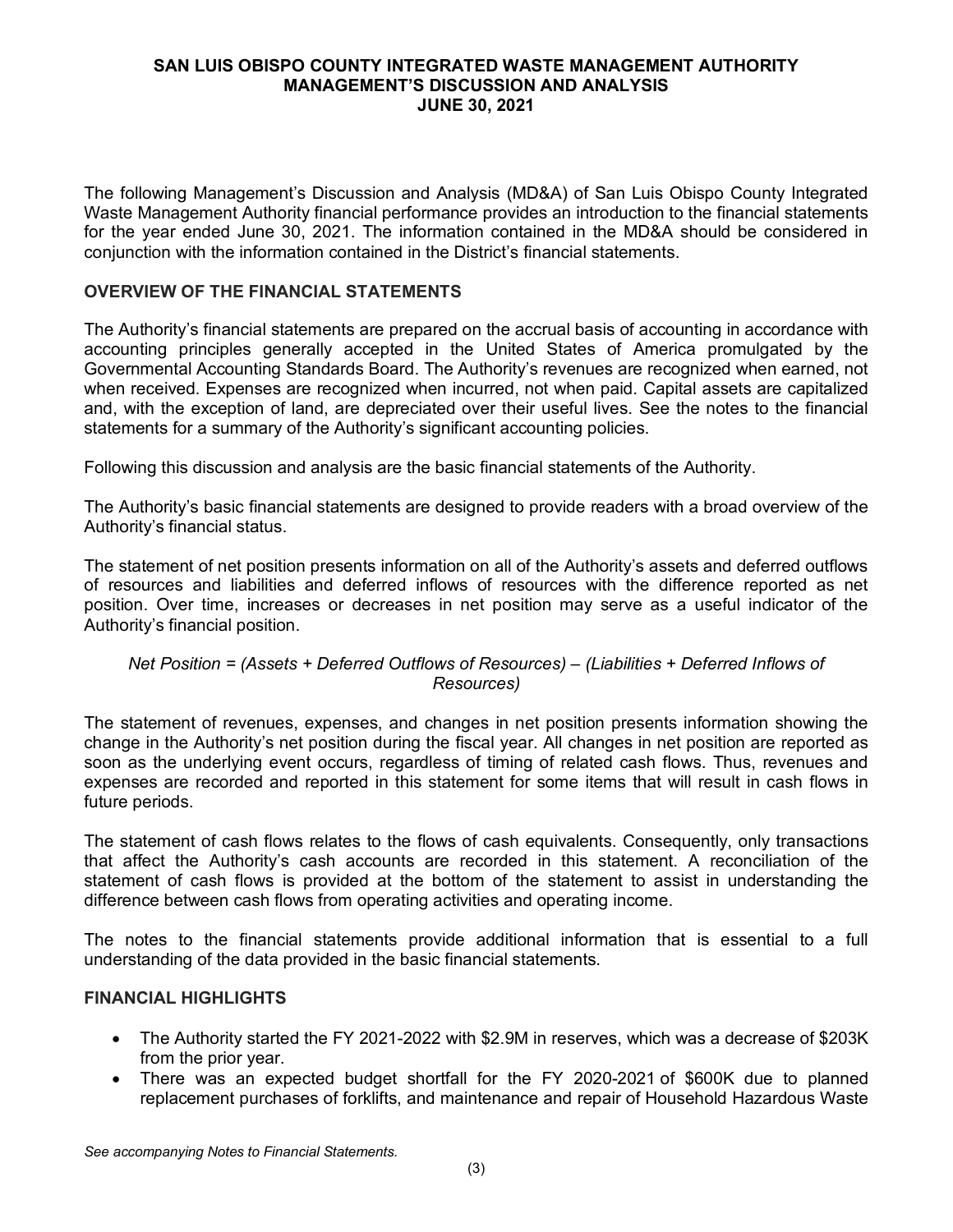The following Management's Discussion and Analysis (MD&A) of San Luis Obispo County Integrated Waste Management Authority financial performance provides an introduction to the financial statements for the year ended June 30, 2021. The information contained in the MD&A should be considered in conjunction with the information contained in the District's financial statements.

## **OVERVIEW OF THE FINANCIAL STATEMENTS**

The Authority's financial statements are prepared on the accrual basis of accounting in accordance with accounting principles generally accepted in the United States of America promulgated by the Governmental Accounting Standards Board. The Authority's revenues are recognized when earned, not when received. Expenses are recognized when incurred, not when paid. Capital assets are capitalized and, with the exception of land, are depreciated over their useful lives. See the notes to the financial statements for a summary of the Authority's significant accounting policies.

Following this discussion and analysis are the basic financial statements of the Authority.

The Authority's basic financial statements are designed to provide readers with a broad overview of the Authority's financial status.

The statement of net position presents information on all of the Authority's assets and deferred outflows of resources and liabilities and deferred inflows of resources with the difference reported as net position. Over time, increases or decreases in net position may serve as a useful indicator of the Authority's financial position.

### *Net Position = (Assets + Deferred Outflows of Resources) – (Liabilities + Deferred Inflows of Resources)*

The statement of revenues, expenses, and changes in net position presents information showing the change in the Authority's net position during the fiscal year. All changes in net position are reported as soon as the underlying event occurs, regardless of timing of related cash flows. Thus, revenues and expenses are recorded and reported in this statement for some items that will result in cash flows in future periods.

The statement of cash flows relates to the flows of cash equivalents. Consequently, only transactions that affect the Authority's cash accounts are recorded in this statement. A reconciliation of the statement of cash flows is provided at the bottom of the statement to assist in understanding the difference between cash flows from operating activities and operating income.

The notes to the financial statements provide additional information that is essential to a full understanding of the data provided in the basic financial statements.

### **FINANCIAL HIGHLIGHTS**

- The Authority started the FY 2021-2022 with \$2.9M in reserves, which was a decrease of \$203K from the prior year.
- There was an expected budget shortfall for the FY 2020-2021 of \$600K due to planned replacement purchases of forklifts, and maintenance and repair of Household Hazardous Waste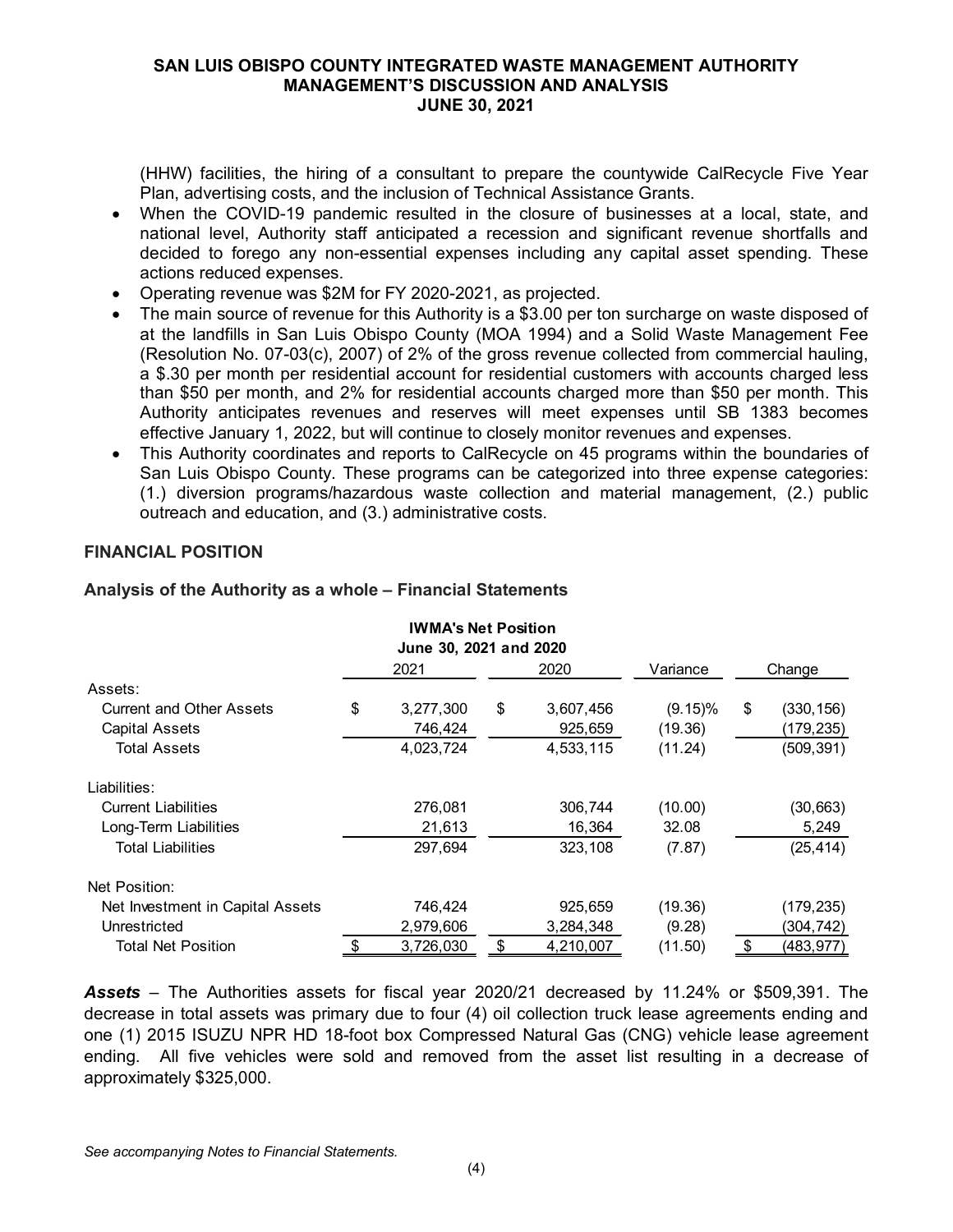(HHW) facilities, the hiring of a consultant to prepare the countywide CalRecycle Five Year Plan, advertising costs, and the inclusion of Technical Assistance Grants.

- When the COVID-19 pandemic resulted in the closure of businesses at a local, state, and national level, Authority staff anticipated a recession and significant revenue shortfalls and decided to forego any non-essential expenses including any capital asset spending. These actions reduced expenses.
- Operating revenue was \$2M for FY 2020-2021, as projected.
- The main source of revenue for this Authority is a \$3.00 per ton surcharge on waste disposed of at the landfills in San Luis Obispo County (MOA 1994) and a Solid Waste Management Fee (Resolution No. 07-03(c), 2007) of 2% of the gross revenue collected from commercial hauling, a \$.30 per month per residential account for residential customers with accounts charged less than \$50 per month, and 2% for residential accounts charged more than \$50 per month. This Authority anticipates revenues and reserves will meet expenses until SB 1383 becomes effective January 1, 2022, but will continue to closely monitor revenues and expenses.
- This Authority coordinates and reports to CalRecycle on 45 programs within the boundaries of San Luis Obispo County. These programs can be categorized into three expense categories: (1.) diversion programs/hazardous waste collection and material management, (2.) public outreach and education, and (3.) administrative costs.

### **FINANCIAL POSITION**

|                                  | IWMA'S Net Position<br>June 30, 2021 and 2020 |                 |            |        |            |
|----------------------------------|-----------------------------------------------|-----------------|------------|--------|------------|
|                                  | 2021                                          | 2020            | Variance   | Change |            |
| Assets:                          |                                               |                 |            |        |            |
| <b>Current and Other Assets</b>  | \$<br>3,277,300                               | \$<br>3,607,456 | $(9.15)\%$ | \$     | (330, 156) |
| <b>Capital Assets</b>            | 746.424                                       | 925,659         | (19.36)    |        | (179,235)  |
| <b>Total Assets</b>              | 4,023,724                                     | 4,533,115       | (11.24)    |        | (509, 391) |
| Liabilities:                     |                                               |                 |            |        |            |
| <b>Current Liabilities</b>       | 276,081                                       | 306.744         | (10.00)    |        | (30, 663)  |
| Long-Term Liabilities            | 21,613                                        | 16,364          | 32.08      |        | 5,249      |
| <b>Total Liabilities</b>         | 297,694                                       | 323,108         | (7.87)     |        | (25, 414)  |
| Net Position:                    |                                               |                 |            |        |            |
| Net Investment in Capital Assets | 746,424                                       | 925,659         | (19.36)    |        | (179, 235) |
| Unrestricted                     | 2,979,606                                     | 3,284,348       | (9.28)     |        | (304, 742) |
| <b>Total Net Position</b>        | \$<br>3,726,030                               | \$<br>4,210,007 | (11.50)    | \$     | (483, 977) |

**IWMA's Net Position**

#### **Analysis of the Authority as a whole – Financial Statements**

*Assets* – The Authorities assets for fiscal year 2020/21 decreased by 11.24% or \$509,391. The decrease in total assets was primary due to four (4) oil collection truck lease agreements ending and one (1) 2015 ISUZU NPR HD 18-foot box Compressed Natural Gas (CNG) vehicle lease agreement ending. All five vehicles were sold and removed from the asset list resulting in a decrease of approximately \$325,000.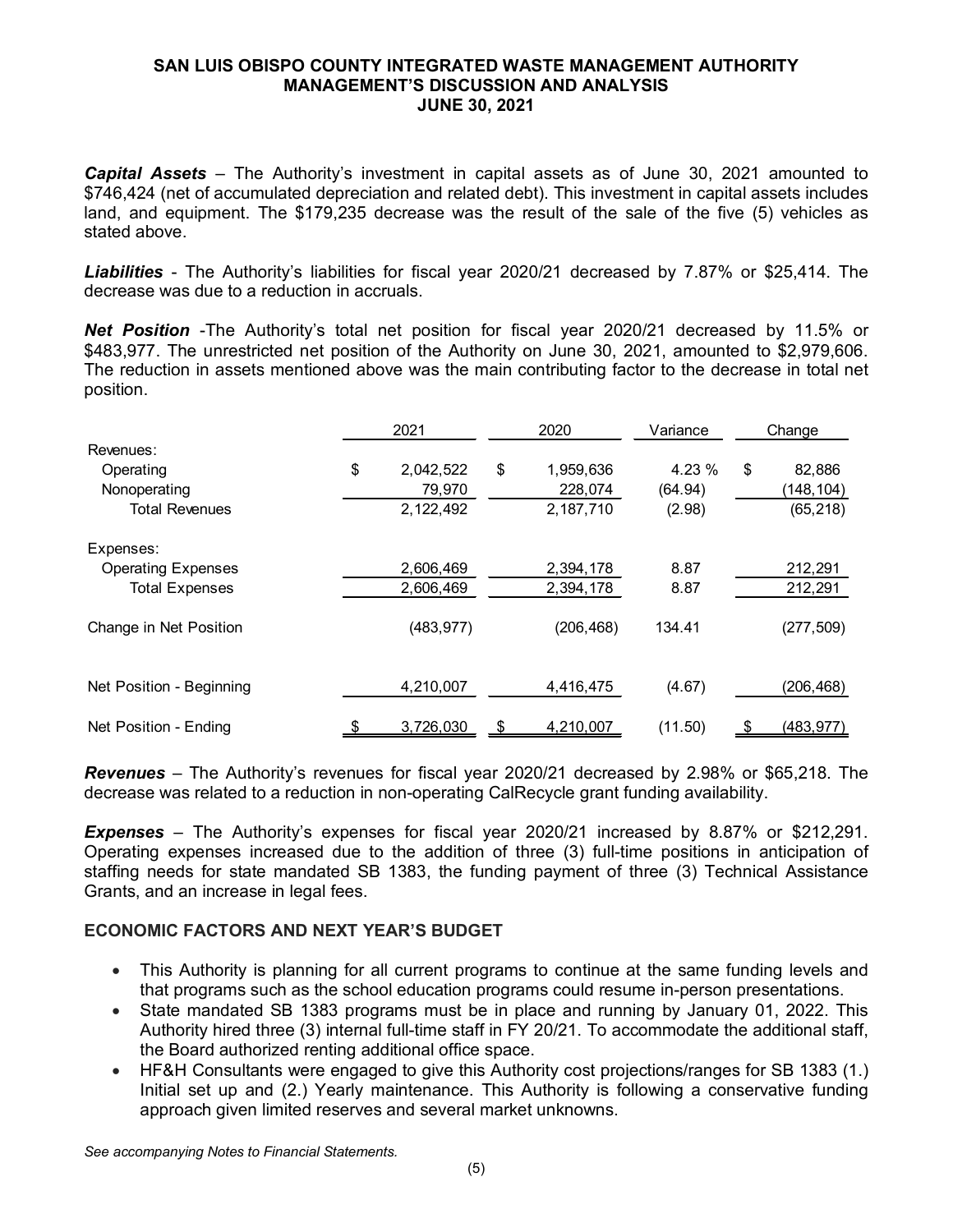*Capital Assets* – The Authority's investment in capital assets as of June 30, 2021 amounted to \$746,424 (net of accumulated depreciation and related debt). This investment in capital assets includes land, and equipment. The \$179,235 decrease was the result of the sale of the five (5) vehicles as stated above.

*Liabilities* - The Authority's liabilities for fiscal year 2020/21 decreased by 7.87% or \$25,414. The decrease was due to a reduction in accruals.

*Net Position* -The Authority's total net position for fiscal year 2020/21 decreased by 11.5% or \$483,977. The unrestricted net position of the Authority on June 30, 2021, amounted to \$2,979,606. The reduction in assets mentioned above was the main contributing factor to the decrease in total net position.

|                           |    | 2021       |    | 2020       | Variance | Change           |  |
|---------------------------|----|------------|----|------------|----------|------------------|--|
| Revenues:                 |    |            |    |            |          |                  |  |
| Operating                 | \$ | 2,042,522  | \$ | 1,959,636  | 4.23 %   | \$<br>82,886     |  |
| Nonoperating              |    | 79,970     |    | 228,074    | (64.94)  | (148, 104)       |  |
| <b>Total Revenues</b>     |    | 2,122,492  |    | 2,187,710  | (2.98)   | (65, 218)        |  |
| Expenses:                 |    |            |    |            |          |                  |  |
| <b>Operating Expenses</b> |    | 2,606,469  |    | 2,394,178  | 8.87     | 212,291          |  |
| <b>Total Expenses</b>     |    | 2,606,469  |    | 2,394,178  | 8.87     | 212,291          |  |
| Change in Net Position    |    | (483, 977) |    | (206, 468) | 134.41   | (277, 509)       |  |
| Net Position - Beginning  |    | 4,210,007  |    | 4,416,475  | (4.67)   | (206, 468)       |  |
| Net Position - Ending     | \$ | 3,726,030  | \$ | 4,210,007  | (11.50)  | \$<br>(483, 977) |  |

*Revenues* – The Authority's revenues for fiscal year 2020/21 decreased by 2.98% or \$65,218. The decrease was related to a reduction in non-operating CalRecycle grant funding availability.

*Expenses* – The Authority's expenses for fiscal year 2020/21 increased by 8.87% or \$212,291. Operating expenses increased due to the addition of three (3) full-time positions in anticipation of staffing needs for state mandated SB 1383, the funding payment of three (3) Technical Assistance Grants, and an increase in legal fees.

### **ECONOMIC FACTORS AND NEXT YEAR'S BUDGET**

- This Authority is planning for all current programs to continue at the same funding levels and that programs such as the school education programs could resume in-person presentations.
- State mandated SB 1383 programs must be in place and running by January 01, 2022. This Authority hired three (3) internal full-time staff in FY 20/21. To accommodate the additional staff, the Board authorized renting additional office space.
- HF&H Consultants were engaged to give this Authority cost projections/ranges for SB 1383 (1.) Initial set up and (2.) Yearly maintenance. This Authority is following a conservative funding approach given limited reserves and several market unknowns.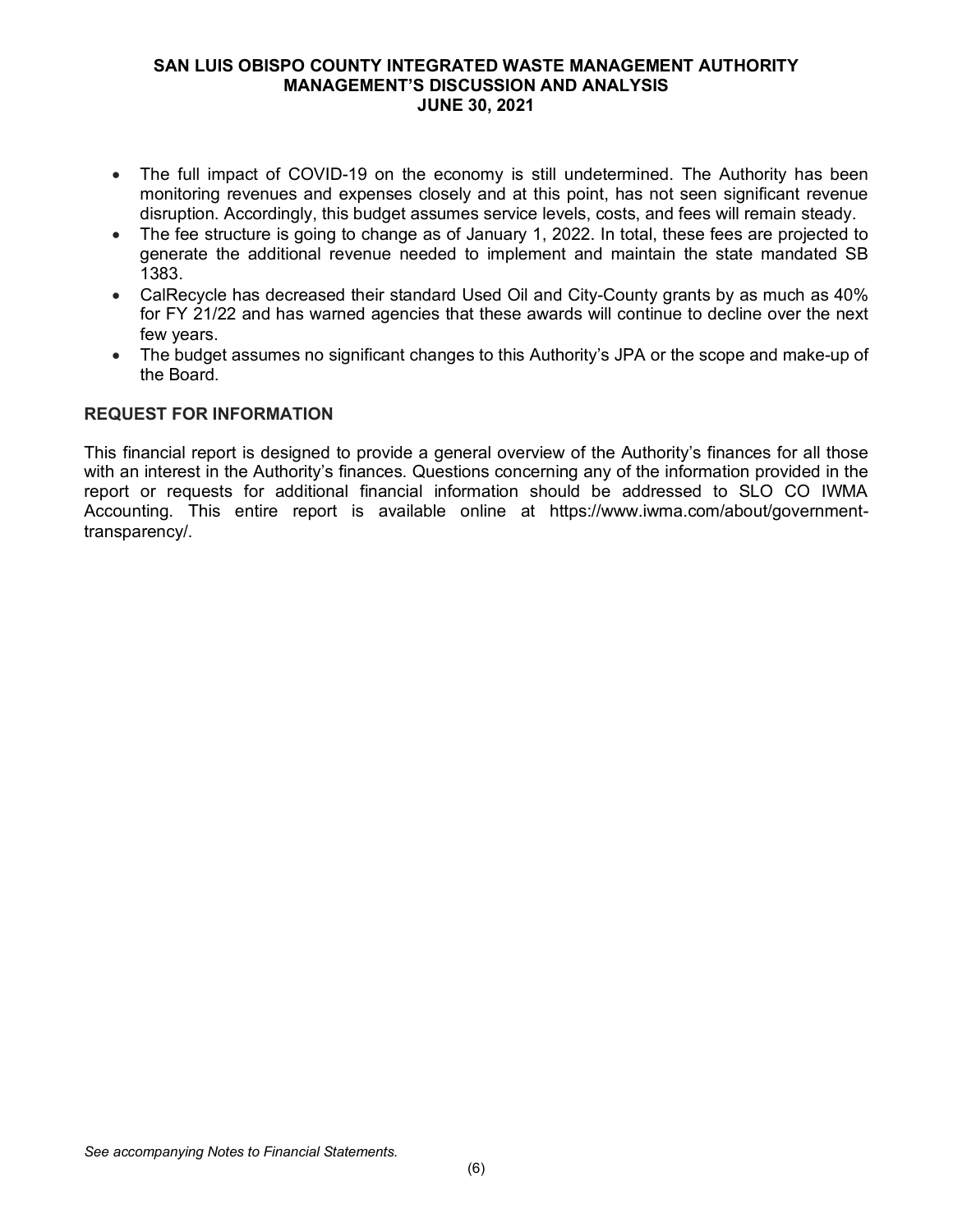- The full impact of COVID-19 on the economy is still undetermined. The Authority has been monitoring revenues and expenses closely and at this point, has not seen significant revenue disruption. Accordingly, this budget assumes service levels, costs, and fees will remain steady.
- The fee structure is going to change as of January 1, 2022. In total, these fees are projected to generate the additional revenue needed to implement and maintain the state mandated SB 1383.
- CalRecycle has decreased their standard Used Oil and City-County grants by as much as 40% for FY 21/22 and has warned agencies that these awards will continue to decline over the next few years.
- The budget assumes no significant changes to this Authority's JPA or the scope and make-up of the Board.

### **REQUEST FOR INFORMATION**

This financial report is designed to provide a general overview of the Authority's finances for all those with an interest in the Authority's finances. Questions concerning any of the information provided in the report or requests for additional financial information should be addressed to SLO CO IWMA Accounting. This entire report is available online at https://www.iwma.com/about/governmenttransparency/.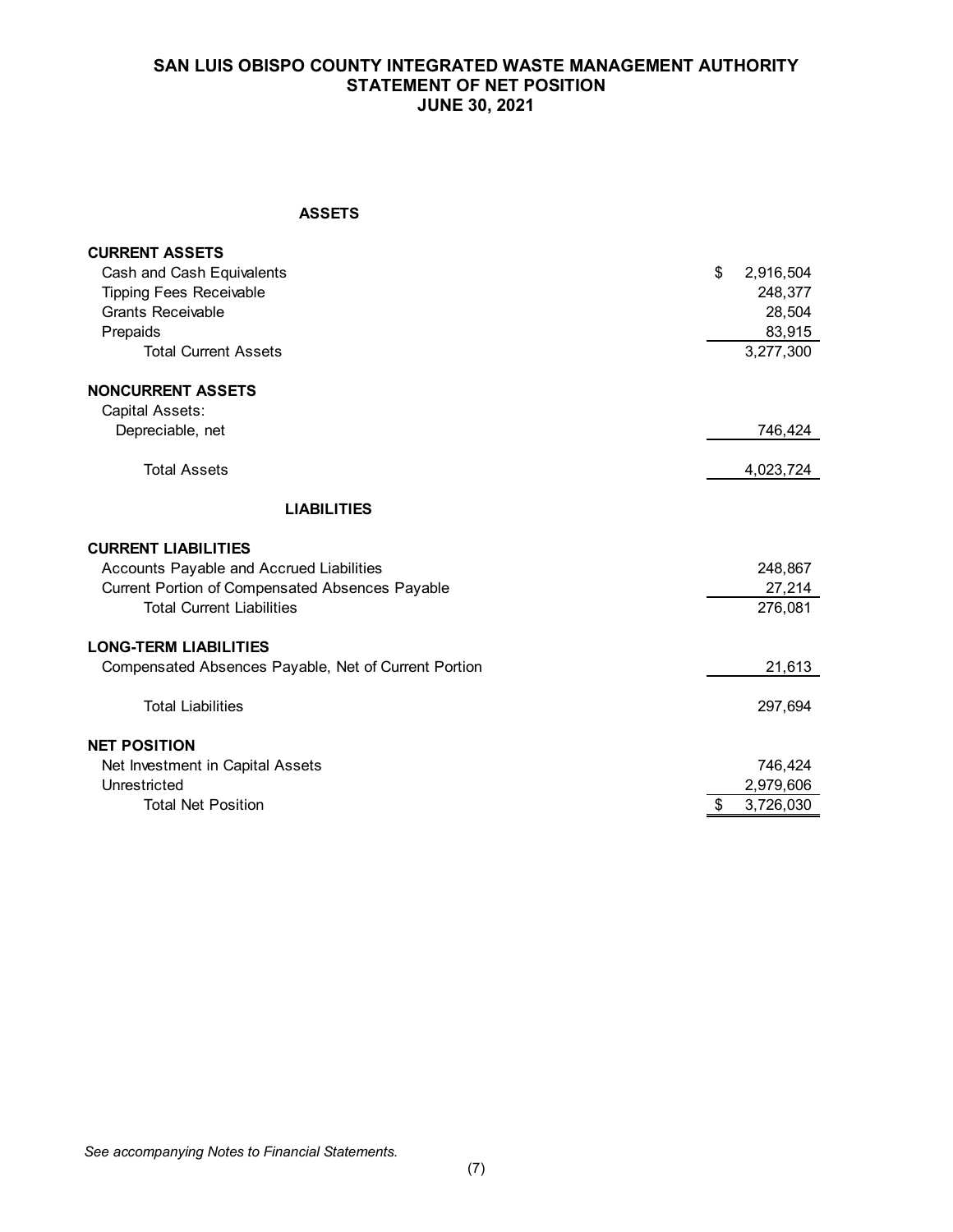## **SAN LUIS OBISPO COUNTY INTEGRATED WASTE MANAGEMENT AUTHORITY STATEMENT OF NET POSITION JUNE 30, 2021**

#### **ASSETS**

| Cash and Cash Equivalents                            |                 |
|------------------------------------------------------|-----------------|
|                                                      | \$<br>2,916,504 |
| <b>Tipping Fees Receivable</b>                       | 248,377         |
| <b>Grants Receivable</b>                             | 28,504          |
| Prepaids                                             | 83,915          |
| <b>Total Current Assets</b>                          | 3,277,300       |
| <b>NONCURRENT ASSETS</b>                             |                 |
| Capital Assets:                                      |                 |
| Depreciable, net                                     | 746,424         |
| <b>Total Assets</b>                                  | 4,023,724       |
| <b>LIABILITIES</b>                                   |                 |
| <b>CURRENT LIABILITIES</b>                           |                 |
| Accounts Payable and Accrued Liabilities             | 248,867         |
| Current Portion of Compensated Absences Payable      | 27,214          |
| <b>Total Current Liabilities</b>                     | 276,081         |
| <b>LONG-TERM LIABILITIES</b>                         |                 |
| Compensated Absences Payable, Net of Current Portion | 21,613          |
| <b>Total Liabilities</b>                             | 297,694         |
| <b>NET POSITION</b>                                  |                 |
| Net Investment in Capital Assets                     | 746,424         |
| Unrestricted                                         | 2,979,606       |
| <b>Total Net Position</b>                            | \$<br>3,726,030 |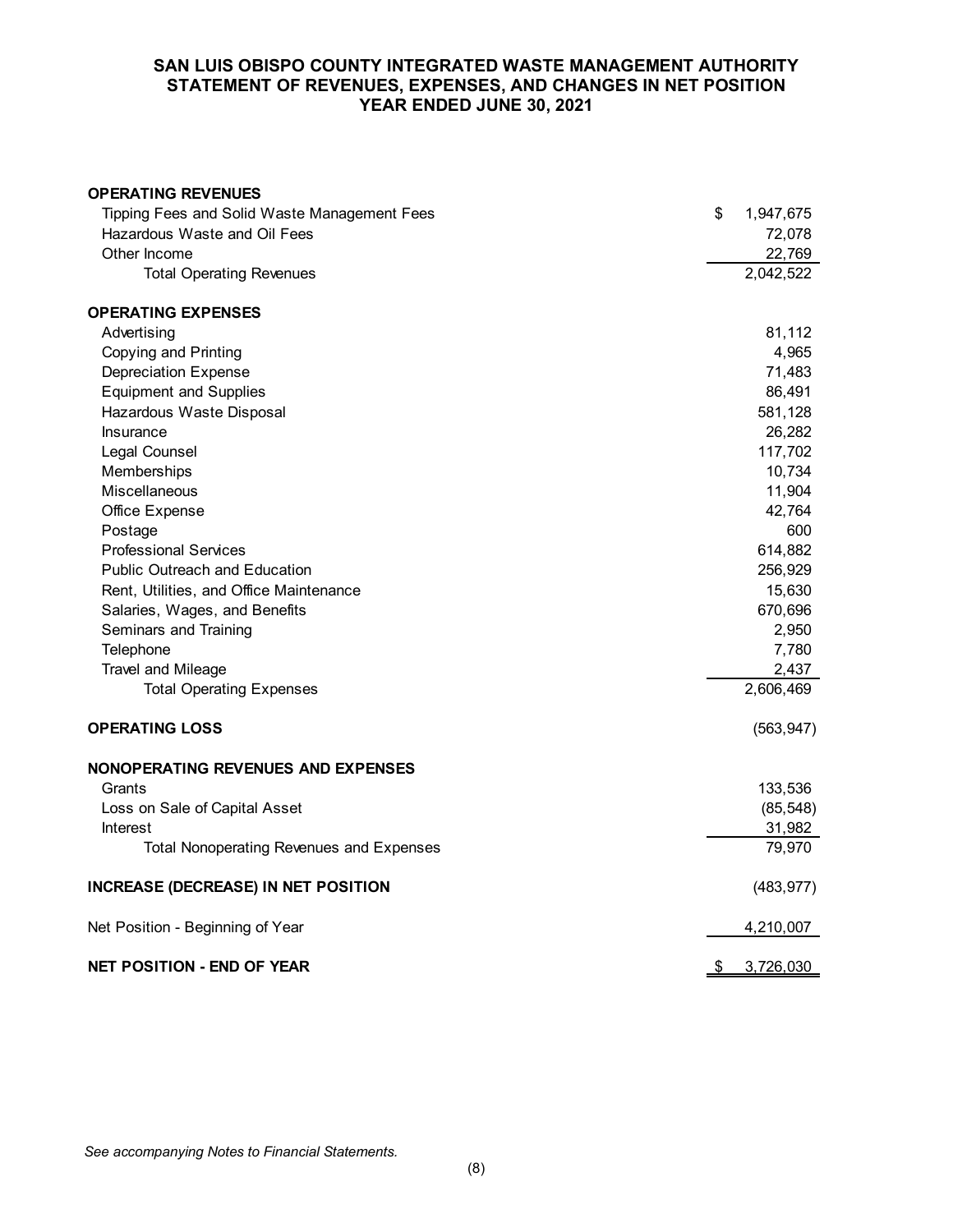### **SAN LUIS OBISPO COUNTY INTEGRATED WASTE MANAGEMENT AUTHORITY STATEMENT OF REVENUES, EXPENSES, AND CHANGES IN NET POSITION YEAR ENDED JUNE 30, 2021**

| <b>OPERATING REVENUES</b>                       |                 |
|-------------------------------------------------|-----------------|
| Tipping Fees and Solid Waste Management Fees    | \$<br>1,947,675 |
| Hazardous Waste and Oil Fees                    | 72,078          |
| Other Income                                    | 22,769          |
| <b>Total Operating Revenues</b>                 | 2,042,522       |
| <b>OPERATING EXPENSES</b>                       |                 |
| Advertising                                     | 81,112          |
| Copying and Printing                            | 4,965           |
| <b>Depreciation Expense</b>                     | 71,483          |
| <b>Equipment and Supplies</b>                   | 86,491          |
| Hazardous Waste Disposal                        | 581,128         |
| Insurance                                       | 26,282          |
| Legal Counsel                                   | 117,702         |
| Memberships                                     | 10,734          |
| Miscellaneous                                   | 11,904          |
| Office Expense                                  | 42,764          |
| Postage                                         | 600             |
| <b>Professional Services</b>                    | 614,882         |
| <b>Public Outreach and Education</b>            | 256,929         |
| Rent, Utilities, and Office Maintenance         | 15,630          |
| Salaries, Wages, and Benefits                   | 670,696         |
| Seminars and Training                           | 2,950           |
| Telephone                                       | 7,780           |
| Travel and Mileage                              | 2,437           |
| <b>Total Operating Expenses</b>                 | 2,606,469       |
| <b>OPERATING LOSS</b>                           | (563, 947)      |
| <b>NONOPERATING REVENUES AND EXPENSES</b>       |                 |
| Grants                                          | 133,536         |
| Loss on Sale of Capital Asset                   | (85, 548)       |
| <b>Interest</b>                                 | 31,982          |
| <b>Total Nonoperating Revenues and Expenses</b> | 79,970          |
| <b>INCREASE (DECREASE) IN NET POSITION</b>      | (483, 977)      |
| Net Position - Beginning of Year                | 4,210,007       |
| <b>NET POSITION - END OF YEAR</b>               | \$<br>3,726,030 |

*See accompanying Notes to Financial Statements.*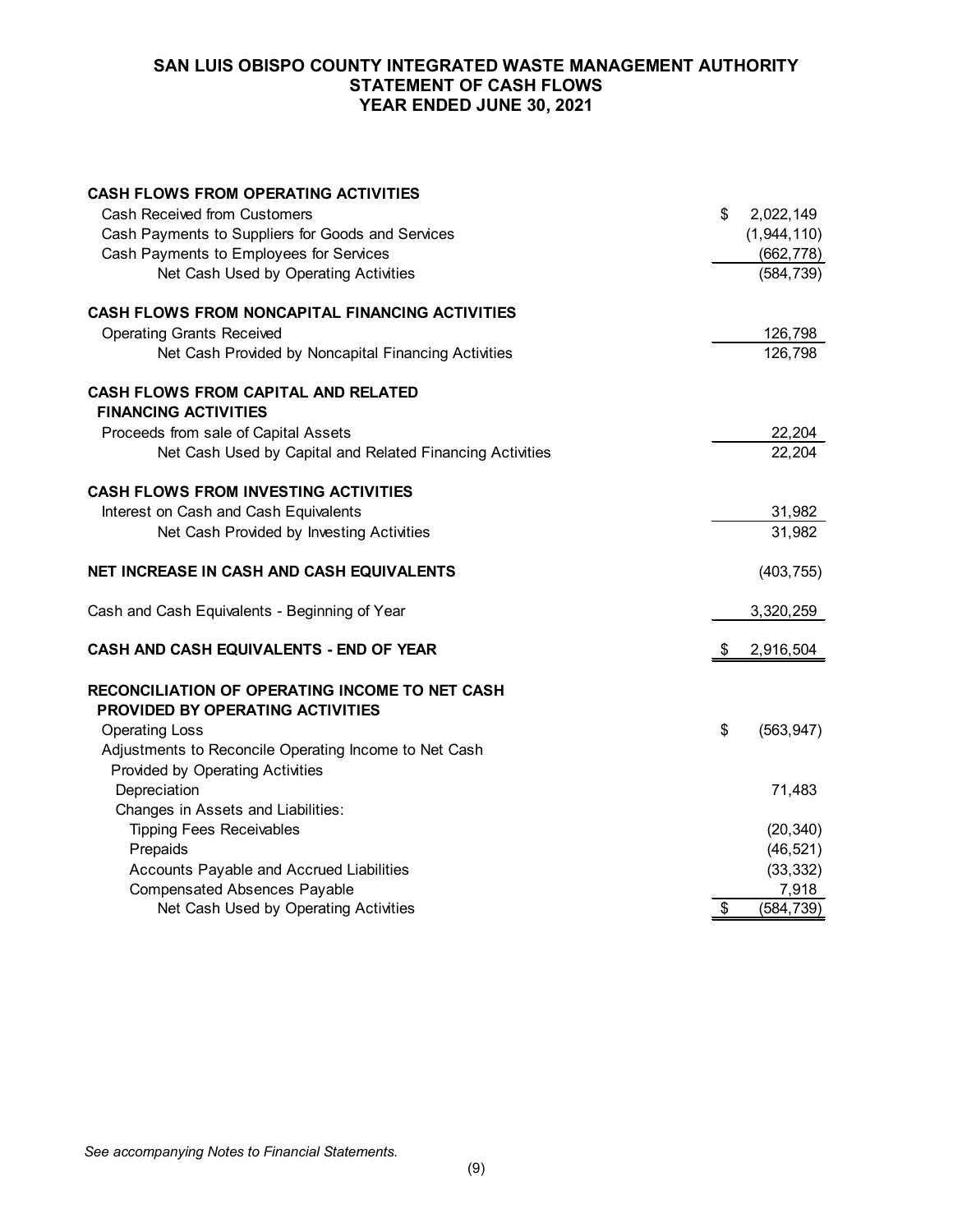### **SAN LUIS OBISPO COUNTY INTEGRATED WASTE MANAGEMENT AUTHORITY STATEMENT OF CASH FLOWS YEAR ENDED JUNE 30, 2021**

| <b>CASH FLOWS FROM OPERATING ACTIVITIES</b>               |    |             |
|-----------------------------------------------------------|----|-------------|
| <b>Cash Received from Customers</b>                       | \$ | 2,022,149   |
| Cash Payments to Suppliers for Goods and Services         |    | (1,944,110) |
| Cash Payments to Employees for Services                   |    | (662, 778)  |
| Net Cash Used by Operating Activities                     |    | (584, 739)  |
| CASH FLOWS FROM NONCAPITAL FINANCING ACTIVITIES           |    |             |
| <b>Operating Grants Received</b>                          |    | 126,798     |
| Net Cash Provided by Noncapital Financing Activities      |    | 126,798     |
| CASH FLOWS FROM CAPITAL AND RELATED                       |    |             |
| <b>FINANCING ACTIVITIES</b>                               |    |             |
| Proceeds from sale of Capital Assets                      |    | 22,204      |
| Net Cash Used by Capital and Related Financing Activities |    | 22,204      |
| <b>CASH FLOWS FROM INVESTING ACTIVITIES</b>               |    |             |
| Interest on Cash and Cash Equivalents                     |    | 31,982      |
| Net Cash Provided by Investing Activities                 |    | 31,982      |
| NET INCREASE IN CASH AND CASH EQUIVALENTS                 |    | (403, 755)  |
| Cash and Cash Equivalents - Beginning of Year             |    | 3,320,259   |
| CASH AND CASH EQUIVALENTS - END OF YEAR                   | S  | 2,916,504   |
| RECONCILIATION OF OPERATING INCOME TO NET CASH            |    |             |
| PROVIDED BY OPERATING ACTIVITIES                          |    |             |
| <b>Operating Loss</b>                                     | \$ | (563, 947)  |
| Adjustments to Reconcile Operating Income to Net Cash     |    |             |
| Provided by Operating Activities                          |    |             |
| Depreciation                                              |    | 71,483      |
| Changes in Assets and Liabilities:                        |    |             |
| <b>Tipping Fees Receivables</b>                           |    | (20, 340)   |
| Prepaids                                                  |    | (46, 521)   |
| Accounts Payable and Accrued Liabilities                  |    | (33, 332)   |
| <b>Compensated Absences Payable</b>                       |    | 7,918       |
| Net Cash Used by Operating Activities                     | \$ | (584, 739)  |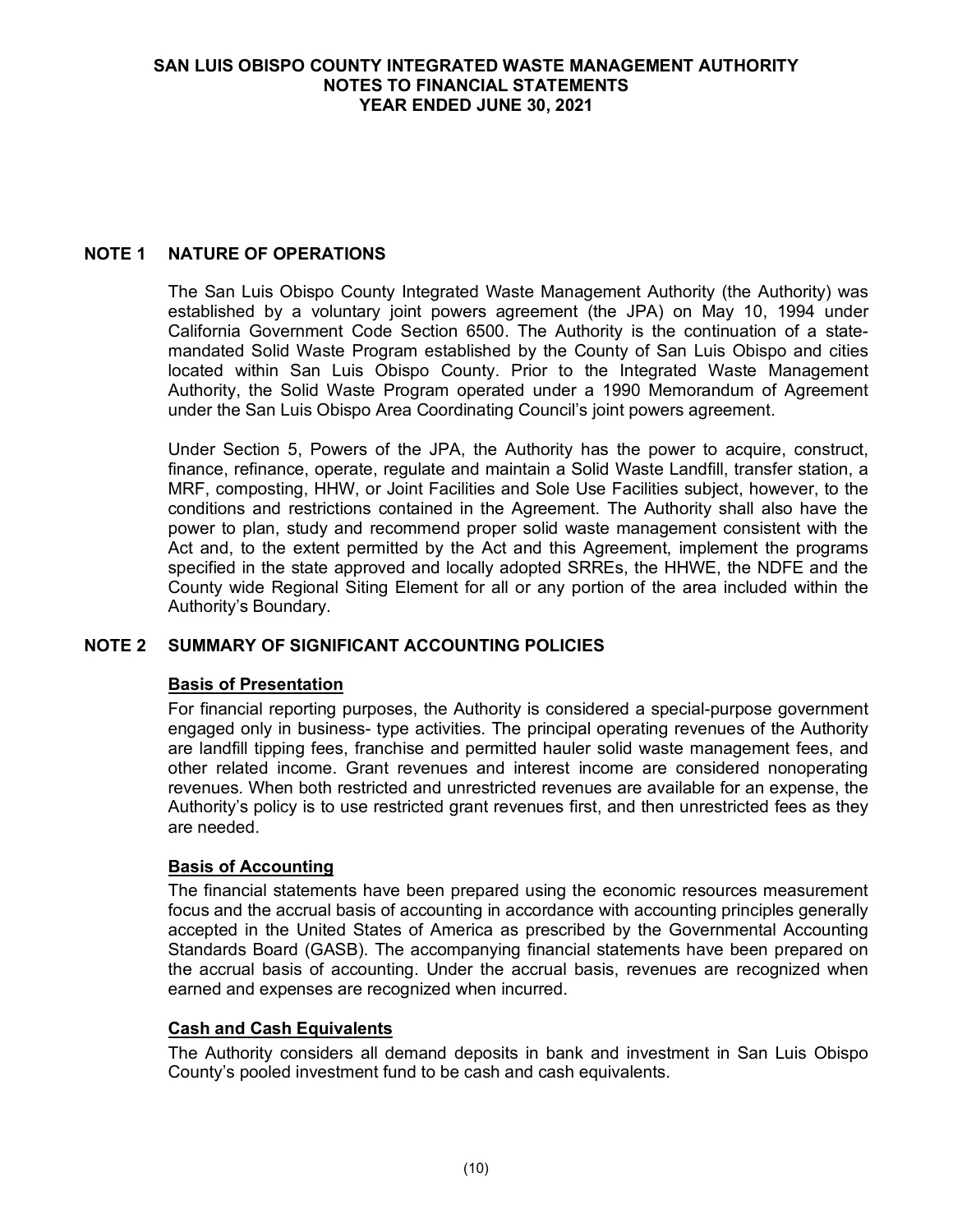## **NOTE 1 NATURE OF OPERATIONS**

The San Luis Obispo County Integrated Waste Management Authority (the Authority) was established by a voluntary joint powers agreement (the JPA) on May 10, 1994 under California Government Code Section 6500. The Authority is the continuation of a statemandated Solid Waste Program established by the County of San Luis Obispo and cities located within San Luis Obispo County. Prior to the Integrated Waste Management Authority, the Solid Waste Program operated under a 1990 Memorandum of Agreement under the San Luis Obispo Area Coordinating Council's joint powers agreement.

Under Section 5, Powers of the JPA, the Authority has the power to acquire, construct, finance, refinance, operate, regulate and maintain a Solid Waste Landfill, transfer station, a MRF, composting, HHW, or Joint Facilities and Sole Use Facilities subject, however, to the conditions and restrictions contained in the Agreement. The Authority shall also have the power to plan, study and recommend proper solid waste management consistent with the Act and, to the extent permitted by the Act and this Agreement, implement the programs specified in the state approved and locally adopted SRREs, the HHWE, the NDFE and the County wide Regional Siting Element for all or any portion of the area included within the Authority's Boundary.

# **NOTE 2 SUMMARY OF SIGNIFICANT ACCOUNTING POLICIES**

# **Basis of Presentation**

For financial reporting purposes, the Authority is considered a special-purpose government engaged only in business- type activities. The principal operating revenues of the Authority are landfill tipping fees, franchise and permitted hauler solid waste management fees, and other related income. Grant revenues and interest income are considered nonoperating revenues. When both restricted and unrestricted revenues are available for an expense, the Authority's policy is to use restricted grant revenues first, and then unrestricted fees as they are needed.

### **Basis of Accounting**

The financial statements have been prepared using the economic resources measurement focus and the accrual basis of accounting in accordance with accounting principles generally accepted in the United States of America as prescribed by the Governmental Accounting Standards Board (GASB). The accompanying financial statements have been prepared on the accrual basis of accounting. Under the accrual basis, revenues are recognized when earned and expenses are recognized when incurred.

### **Cash and Cash Equivalents**

The Authority considers all demand deposits in bank and investment in San Luis Obispo County's pooled investment fund to be cash and cash equivalents.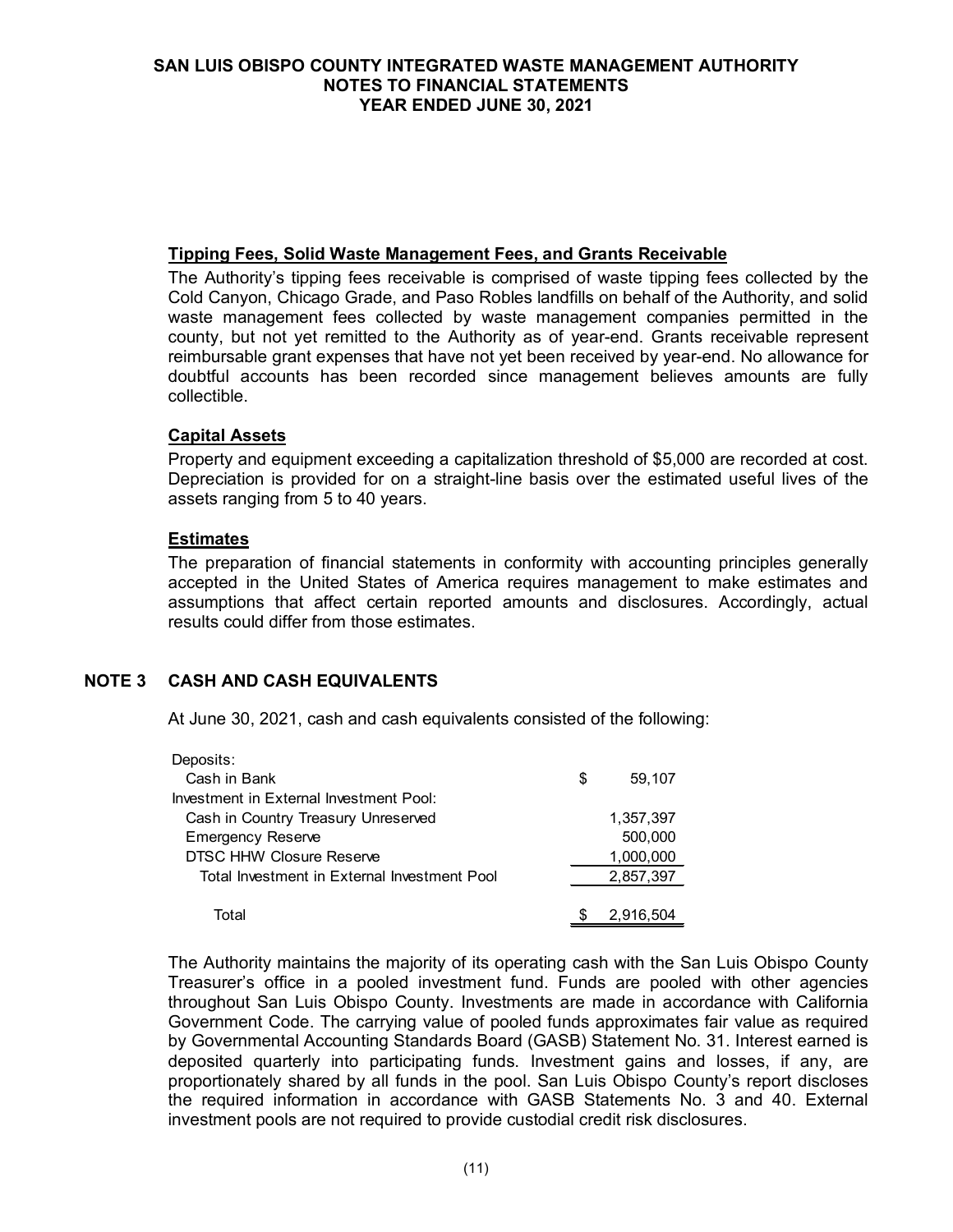### **Tipping Fees, Solid Waste Management Fees, and Grants Receivable**

The Authority's tipping fees receivable is comprised of waste tipping fees collected by the Cold Canyon, Chicago Grade, and Paso Robles landfills on behalf of the Authority, and solid waste management fees collected by waste management companies permitted in the county, but not yet remitted to the Authority as of year-end. Grants receivable represent reimbursable grant expenses that have not yet been received by year-end. No allowance for doubtful accounts has been recorded since management believes amounts are fully collectible.

### **Capital Assets**

Property and equipment exceeding a capitalization threshold of \$5,000 are recorded at cost. Depreciation is provided for on a straight-line basis over the estimated useful lives of the assets ranging from 5 to 40 years.

### **Estimates**

The preparation of financial statements in conformity with accounting principles generally accepted in the United States of America requires management to make estimates and assumptions that affect certain reported amounts and disclosures. Accordingly, actual results could differ from those estimates.

### **NOTE 3 CASH AND CASH EQUIVALENTS**

At June 30, 2021, cash and cash equivalents consisted of the following:

| Deposits:                                    |              |
|----------------------------------------------|--------------|
| Cash in Bank                                 | \$<br>59,107 |
| Investment in External Investment Pool:      |              |
| Cash in Country Treasury Unreserved          | 1,357,397    |
| <b>Emergency Reserve</b>                     | 500,000      |
| DTSC HHW Closure Reserve                     | 1,000,000    |
| Total Investment in External Investment Pool | 2,857,397    |
|                                              |              |
| Total                                        | 2,916,504    |

The Authority maintains the majority of its operating cash with the San Luis Obispo County Treasurer's office in a pooled investment fund. Funds are pooled with other agencies throughout San Luis Obispo County. Investments are made in accordance with California Government Code. The carrying value of pooled funds approximates fair value as required by Governmental Accounting Standards Board (GASB) Statement No. 31. Interest earned is deposited quarterly into participating funds. Investment gains and losses, if any, are proportionately shared by all funds in the pool. San Luis Obispo County's report discloses the required information in accordance with GASB Statements No. 3 and 40. External investment pools are not required to provide custodial credit risk disclosures.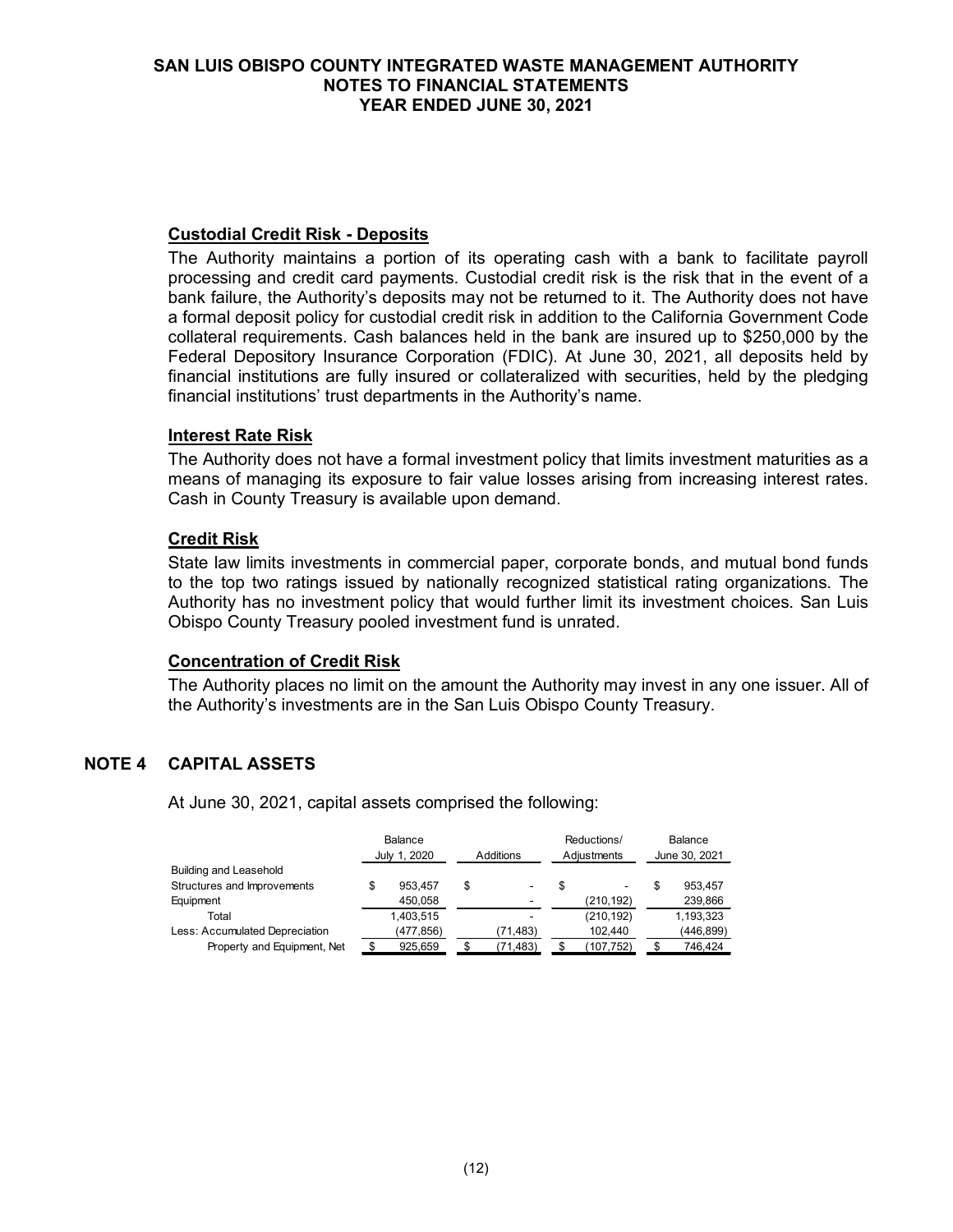## **Custodial Credit Risk - Deposits**

The Authority maintains a portion of its operating cash with a bank to facilitate payroll processing and credit card payments. Custodial credit risk is the risk that in the event of a bank failure, the Authority's deposits may not be returned to it. The Authority does not have a formal deposit policy for custodial credit risk in addition to the California Government Code collateral requirements. Cash balances held in the bank are insured up to \$250,000 by the Federal Depository Insurance Corporation (FDIC). At June 30, 2021, all deposits held by financial institutions are fully insured or collateralized with securities, held by the pledging financial institutions' trust departments in the Authority's name.

### **Interest Rate Risk**

The Authority does not have a formal investment policy that limits investment maturities as a means of managing its exposure to fair value losses arising from increasing interest rates. Cash in County Treasury is available upon demand.

### **Credit Risk**

State law limits investments in commercial paper, corporate bonds, and mutual bond funds to the top two ratings issued by nationally recognized statistical rating organizations. The Authority has no investment policy that would further limit its investment choices. San Luis Obispo County Treasury pooled investment fund is unrated.

### **Concentration of Credit Risk**

The Authority places no limit on the amount the Authority may invest in any one issuer. All of the Authority's investments are in the San Luis Obispo County Treasury.

# **NOTE 4 CAPITAL ASSETS**

At June 30, 2021, capital assets comprised the following:

|                                | Balance<br>July 1, 2020 | Additions |          | Reductions/<br>Adiustments |                          | Balance<br>June 30, 2021 |           |
|--------------------------------|-------------------------|-----------|----------|----------------------------|--------------------------|--------------------------|-----------|
| <b>Building and Leasehold</b>  |                         |           |          |                            |                          |                          |           |
| Structures and Improvements    | 953.457                 | \$        |          | S                          | $\overline{\phantom{a}}$ |                          | 953.457   |
| Equipment                      | 450,058                 |           |          |                            | (210, 192)               |                          | 239,866   |
| Total                          | 1,403,515               |           |          |                            | (210, 192)               |                          | 1,193,323 |
| Less: Accumulated Depreciation | (477,856)               |           | (71,483) |                            | 102.440                  |                          | (446,899) |
| Property and Equipment, Net    | 925,659                 |           | (71,483) | \$.                        | (107,752)                |                          | 746,424   |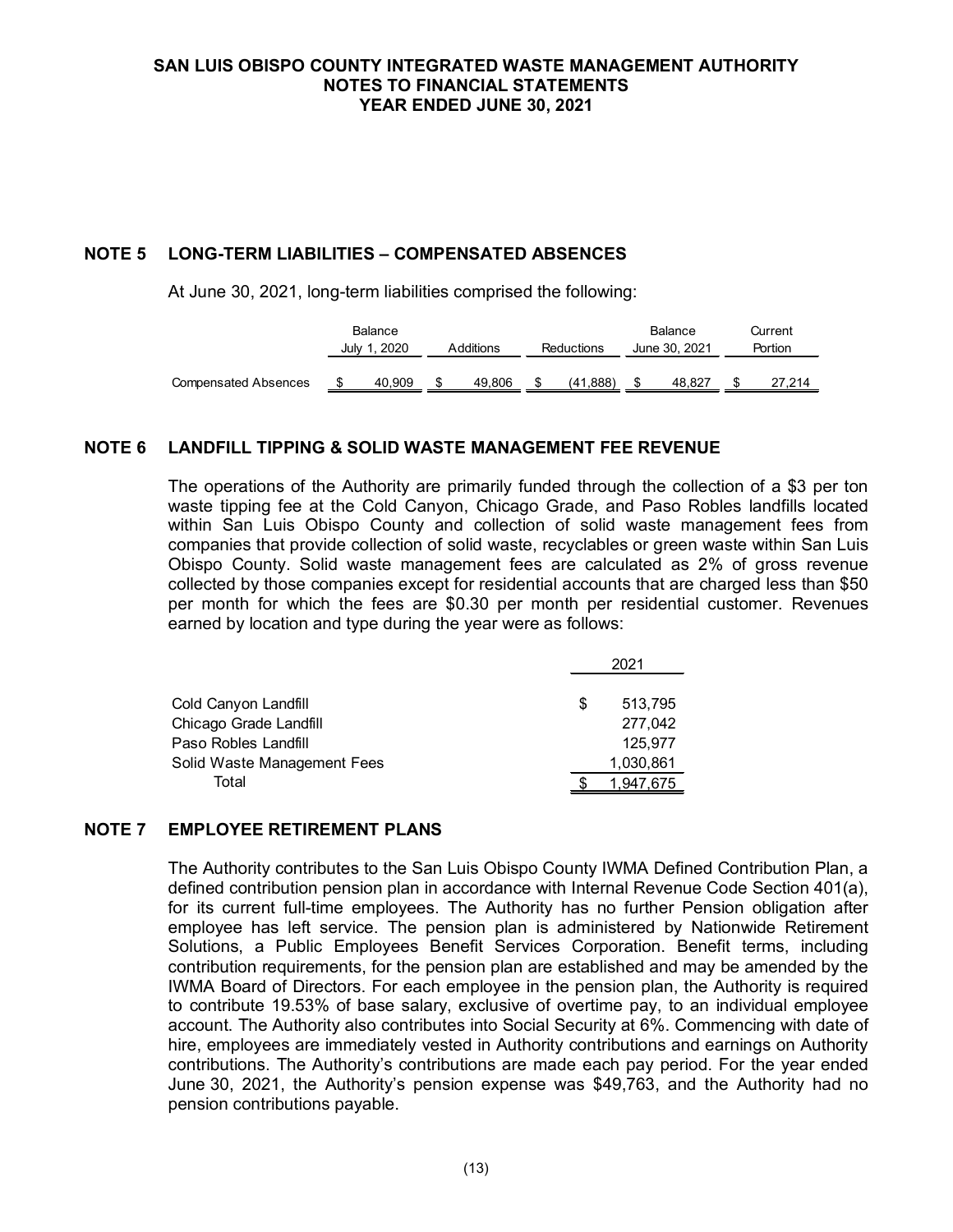## **NOTE 5 LONG-TERM LIABILITIES – COMPENSATED ABSENCES**

At June 30, 2021, long-term liabilities comprised the following:

|                             |              | Balance |           |        |                   |          |               | Balance |         | Current |
|-----------------------------|--------------|---------|-----------|--------|-------------------|----------|---------------|---------|---------|---------|
|                             | July 1, 2020 |         | Additions |        | <b>Reductions</b> |          | June 30, 2021 |         | Portion |         |
|                             |              |         |           |        |                   |          |               |         |         |         |
| <b>Compensated Absences</b> |              | 40.909  |           | 49.806 |                   | (41.888) |               | 48.827  |         | 27.214  |

### **NOTE 6 LANDFILL TIPPING & SOLID WASTE MANAGEMENT FEE REVENUE**

The operations of the Authority are primarily funded through the collection of a \$3 per ton waste tipping fee at the Cold Canyon, Chicago Grade, and Paso Robles landfills located within San Luis Obispo County and collection of solid waste management fees from companies that provide collection of solid waste, recyclables or green waste within San Luis Obispo County. Solid waste management fees are calculated as 2% of gross revenue collected by those companies except for residential accounts that are charged less than \$50 per month for which the fees are \$0.30 per month per residential customer. Revenues earned by location and type during the year were as follows:

|                             |   | 2021      |  |  |
|-----------------------------|---|-----------|--|--|
|                             |   |           |  |  |
| Cold Canyon Landfill        | S | 513.795   |  |  |
| Chicago Grade Landfill      |   | 277,042   |  |  |
| Paso Robles Landfill        |   | 125,977   |  |  |
| Solid Waste Management Fees |   | 1,030,861 |  |  |
| Total                       |   | 1,947,675 |  |  |

#### **NOTE 7 EMPLOYEE RETIREMENT PLANS**

The Authority contributes to the San Luis Obispo County IWMA Defined Contribution Plan, a defined contribution pension plan in accordance with Internal Revenue Code Section 401(a), for its current full-time employees. The Authority has no further Pension obligation after employee has left service. The pension plan is administered by Nationwide Retirement Solutions, a Public Employees Benefit Services Corporation. Benefit terms, including contribution requirements, for the pension plan are established and may be amended by the IWMA Board of Directors. For each employee in the pension plan, the Authority is required to contribute 19.53% of base salary, exclusive of overtime pay, to an individual employee account. The Authority also contributes into Social Security at 6%. Commencing with date of hire, employees are immediately vested in Authority contributions and earnings on Authority contributions. The Authority's contributions are made each pay period. For the year ended June 30, 2021, the Authority's pension expense was \$49,763, and the Authority had no pension contributions payable.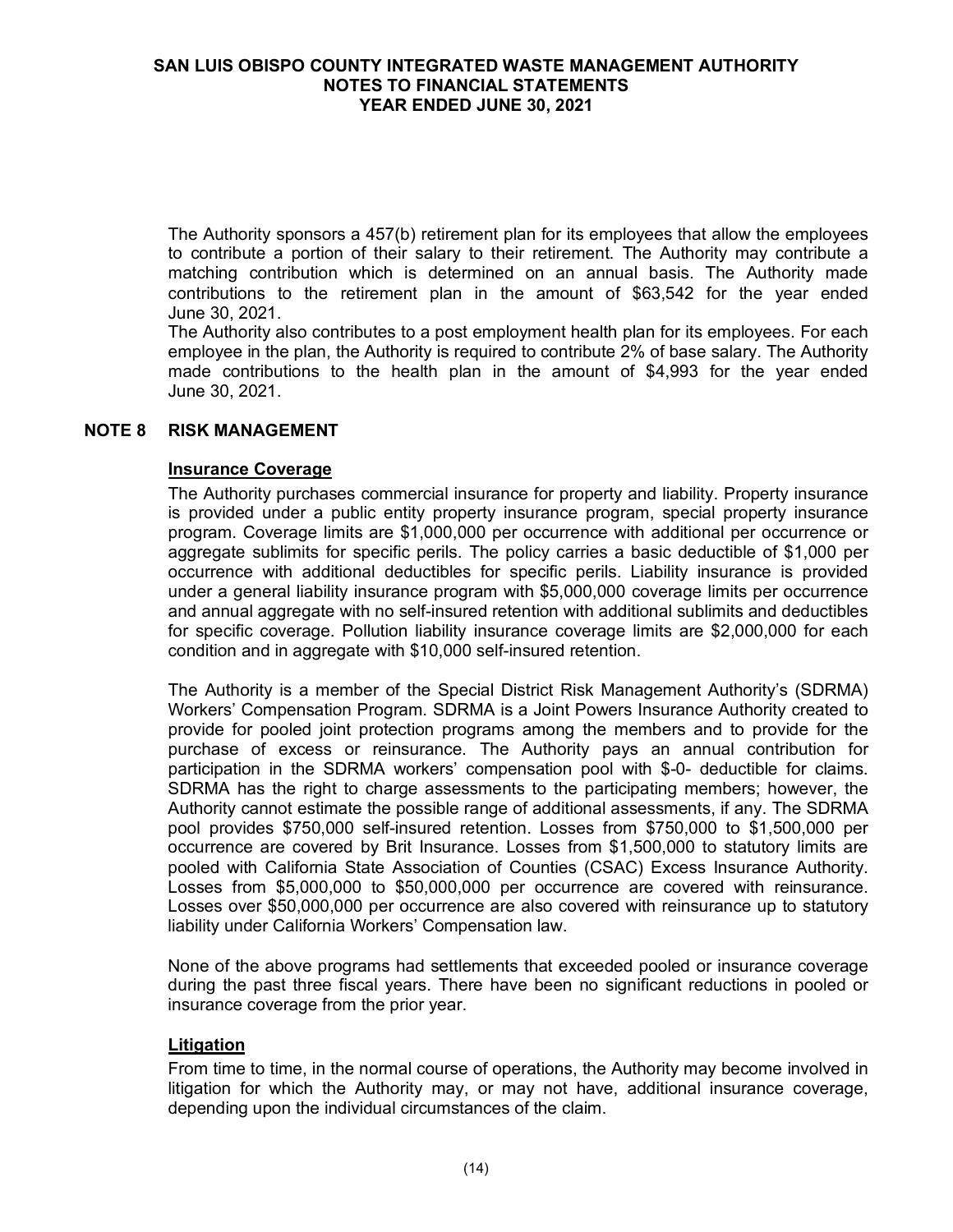The Authority sponsors a 457(b) retirement plan for its employees that allow the employees to contribute a portion of their salary to their retirement. The Authority may contribute a matching contribution which is determined on an annual basis. The Authority made contributions to the retirement plan in the amount of \$63,542 for the year ended June 30, 2021.

The Authority also contributes to a post employment health plan for its employees. For each employee in the plan, the Authority is required to contribute 2% of base salary. The Authority made contributions to the health plan in the amount of \$4,993 for the year ended June 30, 2021.

### **NOTE 8 RISK MANAGEMENT**

#### **Insurance Coverage**

The Authority purchases commercial insurance for property and liability. Property insurance is provided under a public entity property insurance program, special property insurance program. Coverage limits are \$1,000,000 per occurrence with additional per occurrence or aggregate sublimits for specific perils. The policy carries a basic deductible of \$1,000 per occurrence with additional deductibles for specific perils. Liability insurance is provided under a general liability insurance program with \$5,000,000 coverage limits per occurrence and annual aggregate with no self-insured retention with additional sublimits and deductibles for specific coverage. Pollution liability insurance coverage limits are \$2,000,000 for each condition and in aggregate with \$10,000 self-insured retention.

The Authority is a member of the Special District Risk Management Authority's (SDRMA) Workers' Compensation Program. SDRMA is a Joint Powers Insurance Authority created to provide for pooled joint protection programs among the members and to provide for the purchase of excess or reinsurance. The Authority pays an annual contribution for participation in the SDRMA workers' compensation pool with \$-0- deductible for claims. SDRMA has the right to charge assessments to the participating members; however, the Authority cannot estimate the possible range of additional assessments, if any. The SDRMA pool provides \$750,000 self-insured retention. Losses from \$750,000 to \$1,500,000 per occurrence are covered by Brit Insurance. Losses from \$1,500,000 to statutory limits are pooled with California State Association of Counties (CSAC) Excess Insurance Authority. Losses from \$5,000,000 to \$50,000,000 per occurrence are covered with reinsurance. Losses over \$50,000,000 per occurrence are also covered with reinsurance up to statutory liability under California Workers' Compensation law.

None of the above programs had settlements that exceeded pooled or insurance coverage during the past three fiscal years. There have been no significant reductions in pooled or insurance coverage from the prior year.

#### **Litigation**

From time to time, in the normal course of operations, the Authority may become involved in litigation for which the Authority may, or may not have, additional insurance coverage, depending upon the individual circumstances of the claim.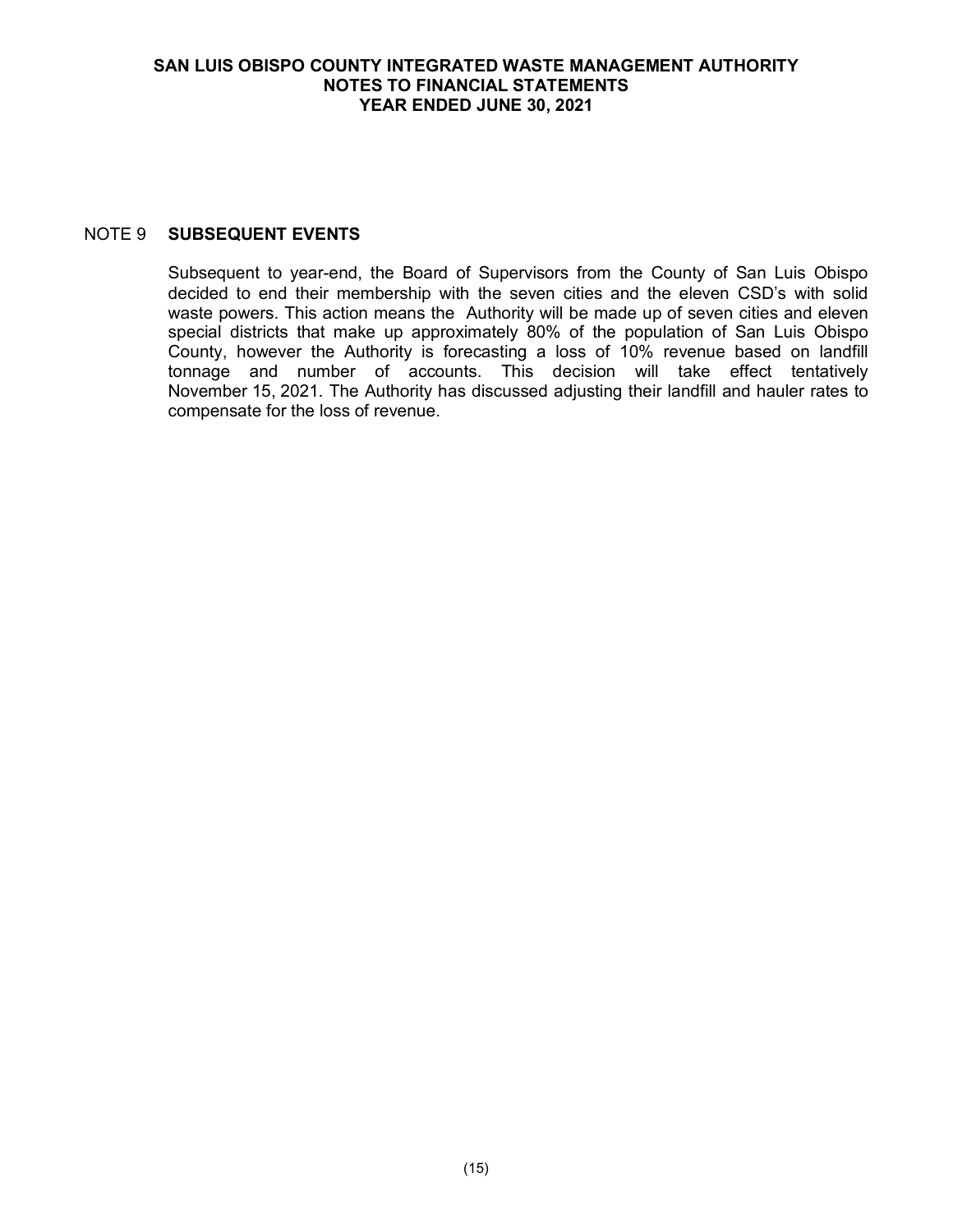## NOTE 9 **SUBSEQUENT EVENTS**

Subsequent to year-end, the Board of Supervisors from the County of San Luis Obispo decided to end their membership with the seven cities and the eleven CSD's with solid waste powers. This action means the Authority will be made up of seven cities and eleven special districts that make up approximately 80% of the population of San Luis Obispo County, however the Authority is forecasting a loss of 10% revenue based on landfill tonnage and number of accounts. This decision will take effect tentatively November 15, 2021. The Authority has discussed adjusting their landfill and hauler rates to compensate for the loss of revenue.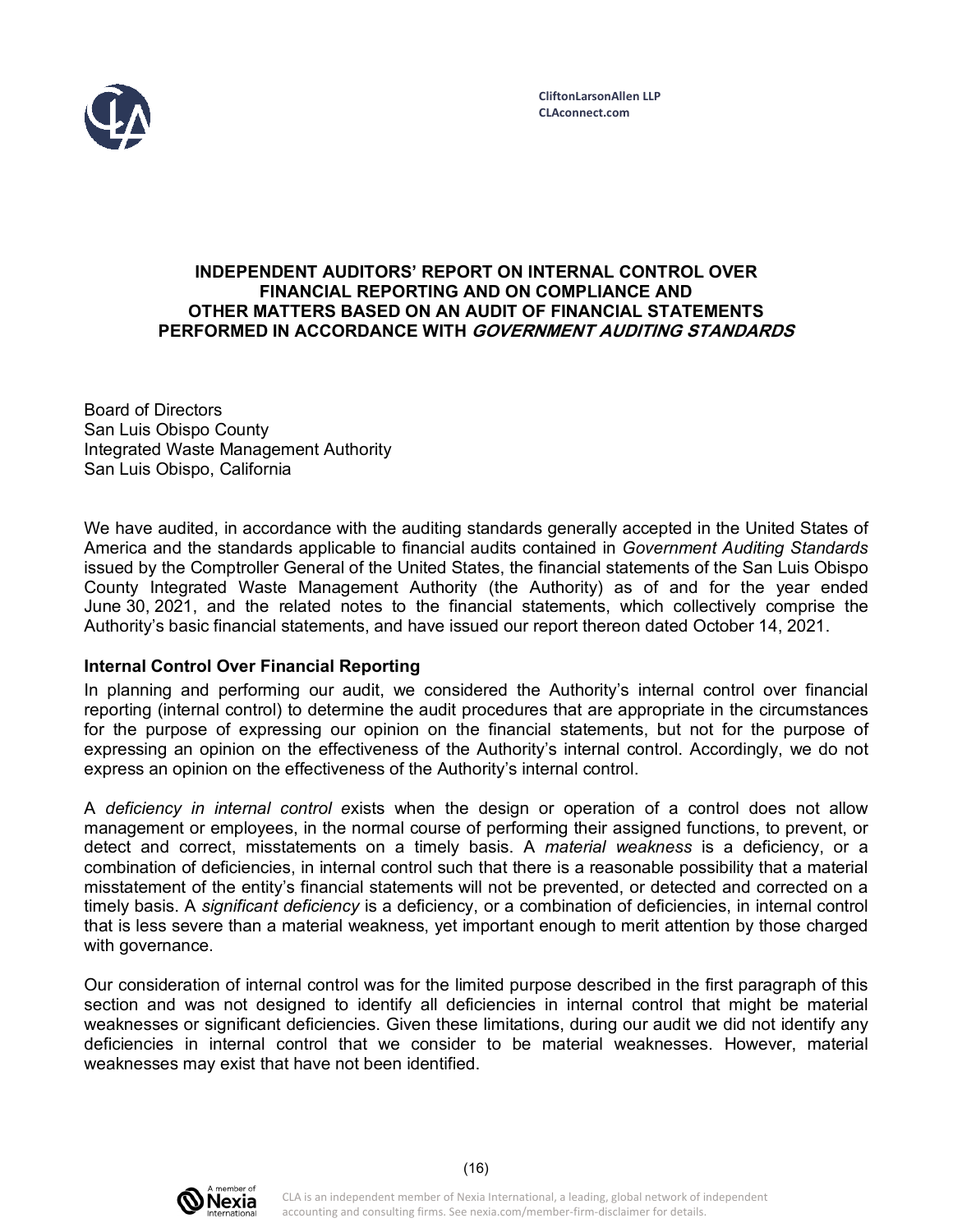

### **INDEPENDENT AUDITORS' REPORT ON INTERNAL CONTROL OVER FINANCIAL REPORTING AND ON COMPLIANCE AND OTHER MATTERS BASED ON AN AUDIT OF FINANCIAL STATEMENTS PERFORMED IN ACCORDANCE WITH GOVERNMENT AUDITING STANDARDS**

Board of Directors San Luis Obispo County Integrated Waste Management Authority San Luis Obispo, California

We have audited, in accordance with the auditing standards generally accepted in the United States of America and the standards applicable to financial audits contained in *Government Auditing Standards*  issued by the Comptroller General of the United States, the financial statements of the San Luis Obispo County Integrated Waste Management Authority (the Authority) as of and for the year ended June 30, 2021, and the related notes to the financial statements, which collectively comprise the Authority's basic financial statements, and have issued our report thereon dated October 14, 2021.

### **Internal Control Over Financial Reporting**

In planning and performing our audit, we considered the Authority's internal control over financial reporting (internal control) to determine the audit procedures that are appropriate in the circumstances for the purpose of expressing our opinion on the financial statements, but not for the purpose of expressing an opinion on the effectiveness of the Authority's internal control. Accordingly, we do not express an opinion on the effectiveness of the Authority's internal control.

A *deficiency in internal control e*xists when the design or operation of a control does not allow management or employees, in the normal course of performing their assigned functions, to prevent, or detect and correct, misstatements on a timely basis. A *material weakness* is a deficiency, or a combination of deficiencies, in internal control such that there is a reasonable possibility that a material misstatement of the entity's financial statements will not be prevented, or detected and corrected on a timely basis. A *significant deficiency* is a deficiency, or a combination of deficiencies, in internal control that is less severe than a material weakness, yet important enough to merit attention by those charged with governance.

Our consideration of internal control was for the limited purpose described in the first paragraph of this section and was not designed to identify all deficiencies in internal control that might be material weaknesses or significant deficiencies. Given these limitations, during our audit we did not identify any deficiencies in internal control that we consider to be material weaknesses. However, material weaknesses may exist that have not been identified.